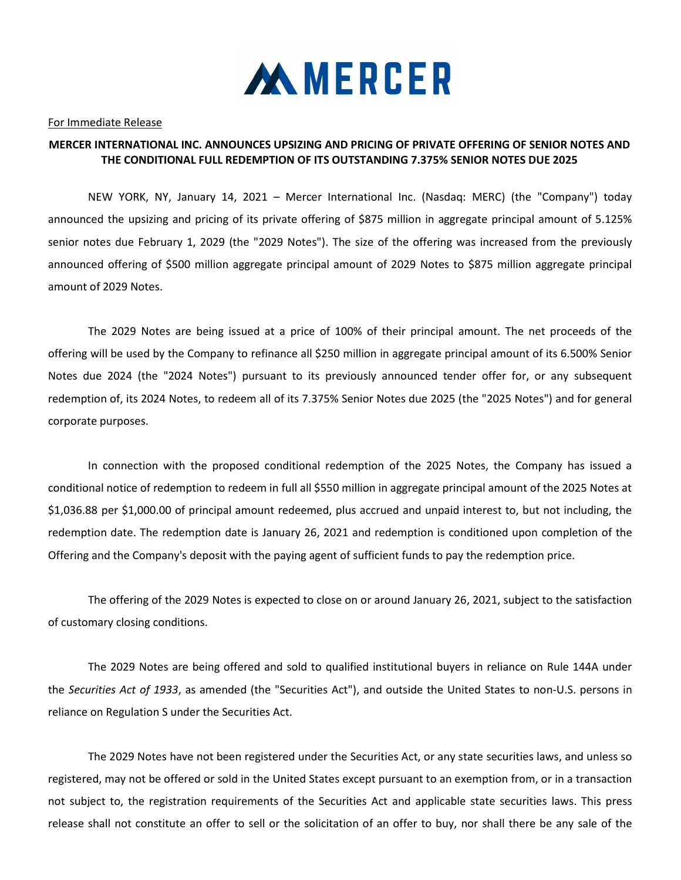

## For Immediate Release

## MERCER INTERNATIONAL INC. ANNOUNCES UPSIZING AND PRICING OF PRIVATE OFFERING OF SENIOR NOTES AND THE CONDITIONAL FULL REDEMPTION OF ITS OUTSTANDING 7.375% SENIOR NOTES DUE 2025

NEW YORK, NY, January 14, 2021 – Mercer International Inc. (Nasdaq: MERC) (the "Company") today announced the upsizing and pricing of its private offering of \$875 million in aggregate principal amount of 5.125% senior notes due February 1, 2029 (the "2029 Notes"). The size of the offering was increased from the previously announced offering of \$500 million aggregate principal amount of 2029 Notes to \$875 million aggregate principal amount of 2029 Notes.

 The 2029 Notes are being issued at a price of 100% of their principal amount. The net proceeds of the offering will be used by the Company to refinance all \$250 million in aggregate principal amount of its 6.500% Senior Notes due 2024 (the "2024 Notes") pursuant to its previously announced tender offer for, or any subsequent redemption of, its 2024 Notes, to redeem all of its 7.375% Senior Notes due 2025 (the "2025 Notes") and for general corporate purposes.

In connection with the proposed conditional redemption of the 2025 Notes, the Company has issued a conditional notice of redemption to redeem in full all \$550 million in aggregate principal amount of the 2025 Notes at \$1,036.88 per \$1,000.00 of principal amount redeemed, plus accrued and unpaid interest to, but not including, the redemption date. The redemption date is January 26, 2021 and redemption is conditioned upon completion of the Offering and the Company's deposit with the paying agent of sufficient funds to pay the redemption price.

 The offering of the 2029 Notes is expected to close on or around January 26, 2021, subject to the satisfaction of customary closing conditions.

 The 2029 Notes are being offered and sold to qualified institutional buyers in reliance on Rule 144A under the Securities Act of 1933, as amended (the "Securities Act"), and outside the United States to non-U.S. persons in reliance on Regulation S under the Securities Act.

 The 2029 Notes have not been registered under the Securities Act, or any state securities laws, and unless so registered, may not be offered or sold in the United States except pursuant to an exemption from, or in a transaction not subject to, the registration requirements of the Securities Act and applicable state securities laws. This press release shall not constitute an offer to sell or the solicitation of an offer to buy, nor shall there be any sale of the